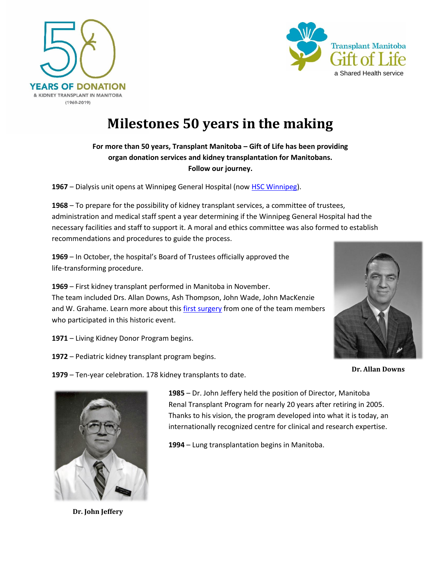



## **Milestones 50 years in the making**

## **For more than 50 years, Transplant Manitoba – Gift of Life has been providing organ donation services and kidney transplantation for Manitobans. Follow our journey.**

**1967** – Dialysis unit opens at Winnipeg General Hospital (now [HSC Winnipeg\)](https://hsc.mb.ca/).

**1968** – To prepare for the possibility of kidney transplant services, a committee of trustees, administration and medical staff spent a year determining if the Winnipeg General Hospital had the necessary facilities and staff to support it. A moral and ethics committee was also formed to establish recommendations and procedures to guide the process.

**1969** – In October, the hospital's Board of Trustees officially approved the life-transforming procedure.

**1969** – First kidney transplant performed in Manitoba in November. The team included Drs. Allan Downs, Ash Thompson, John Wade, John MacKenzie and W. Grahame. Learn more about this [first surgery](https://www.transplantmanitoba.ca/news/read,article/77/a-new-beginning-of-hope-and-healing-through-the-gift-of-life) from one of the team members who participated in this historic event.



- **1971** Living Kidney Donor Program begins.
- **1972** Pediatric kidney transplant program begins.

**1979** – Ten-year celebration. 178 kidney transplants to date.

**Dr. Allan Downs**



**Dr. John Jeffery**

**1985** – Dr. John Jeffery held the position of Director, Manitoba Renal Transplant Program for nearly 20 years after retiring in 2005. Thanks to his vision, the program developed into what it is today, an internationally recognized centre for clinical and research expertise.

**1994** – Lung transplantation begins in Manitoba.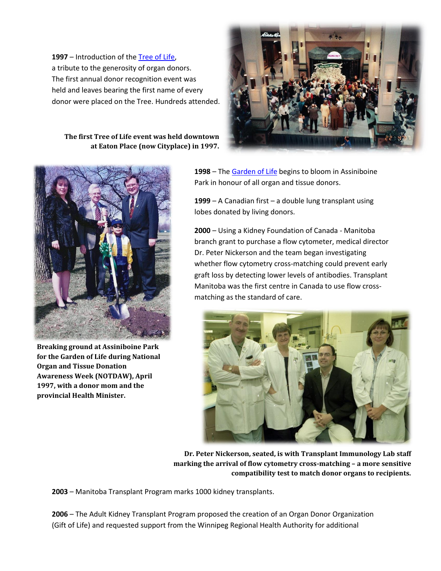**1997** – Introduction of the [Tree of Life,](https://www.transplantmanitoba.ca/about/tree) a tribute to the generosity of organ donors. The first annual donor recognition event was held and leaves bearing the first name of every donor were placed on the Tree. Hundreds attended.

**The first Tree of Life event was held downtown at Eaton Place (now Cityplace) in 1997.**



**Breaking ground at Assiniboine Park for the Garden of Life during National Organ and Tissue Donation Awareness Week (NOTDAW), April 1997, with a donor mom and the provincial Health Minister.**



**1998** – The [Garden of Life](https://www.transplantmanitoba.ca/about/garden) begins to bloom in Assiniboine Park in honour of all organ and tissue donors.

**1999** – A Canadian first – a double lung transplant using lobes donated by living donors.

**2000** – Using a Kidney Foundation of Canada - Manitoba branch grant to purchase a flow cytometer, medical director Dr. Peter Nickerson and the team began investigating whether flow cytometry cross-matching could prevent early graft loss by detecting lower levels of antibodies. Transplant Manitoba was the first centre in Canada to use flow crossmatching as the standard of care.



**Dr. Peter Nickerson, seated, is with Transplant Immunology Lab staff marking the arrival of flow cytometry cross-matching – a more sensitive compatibility test to match donor organs to recipients.** 

**2003** – Manitoba Transplant Program marks 1000 kidney transplants.

**2006** – The Adult Kidney Transplant Program proposed the creation of an Organ Donor Organization (Gift of Life) and requested support from the Winnipeg Regional Health Authority for additional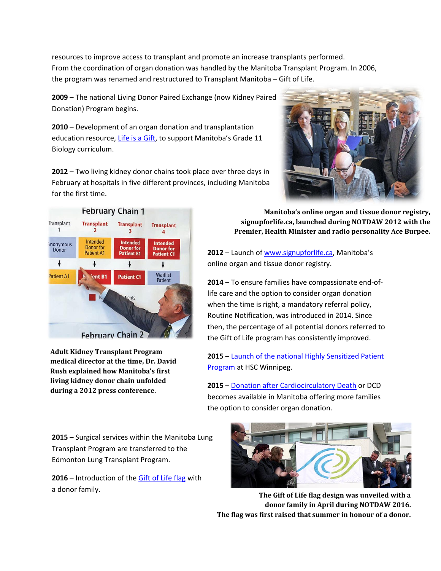resources to improve access to transplant and promote an increase transplants performed. From the coordination of organ donation was handled by the Manitoba Transplant Program. In 2006, the program was renamed and restructured to Transplant Manitoba – Gift of Life.

**2009** – The national Living Donor Paired Exchange (now Kidney Paired Donation) Program begins.

**2010** – Development of an organ donation and transplantation education resource[, Life is a Gift,](https://www.transplantmanitoba.ca/resources) to support Manitoba's Grade 11 Biology curriculum.

**2012** – Two living kidney donor chains took place over three days in February at hospitals in five different provinces, including Manitoba for the first time.



**Adult Kidney Transplant Program medical director at the time, Dr. David Rush explained how [Manitoba's first](https://www.blood.ca/en/about-us/media/newsroom/new-program-will-improve-chances-kidney-transplant-hard-match-patients)  living kidney donor chain unfolded during a 2012 press conference.**

**Manitoba's online organ and tissue donor registry, signupforlife.ca, launched during NOTDAW 2012 with the Premier, Health Minister and radio personality Ace Burpee.**

**2012** – Launch of [www.signupforlife.ca](http://www.signupforlife.ca/), Manitoba's online organ and tissue donor registry.

**2014** – To ensure families have compassionate end-oflife care and the option to consider organ donation when the time is right, a mandatory referral policy, Routine Notification, was introduced in 2014. Since then, the percentage of all potential donors referred to the Gift of Life program has consistently improved.

**2015** – [Launch of the national Highly Sensitized Patient](https://www.blood.ca/en/about-us/media/newsroom/new-program-will-improve-chances-kidney-transplant-hard-match-patients)  Program at HSC Winnipeg.

**2015** – [Donation after Cardiocirculatory Death](https://news.gov.mb.ca/news/index.html?item=37120&posted=2015-12-23) or DCD becomes available in Manitoba offering more families the option to consider organ donation.

**2015** – Surgical services within the Manitoba Lung Transplant Program are transferred to the Edmonton Lung Transplant Program.

**2016** – Introduction of the [Gift of Life flag](https://www.transplantmanitoba.ca/about/gift-of-life-flag) with a donor family.



**The Gift of Life flag design was unveiled with a donor family in April during NOTDAW 2016. The flag was first raised that summer in honour of a donor.**